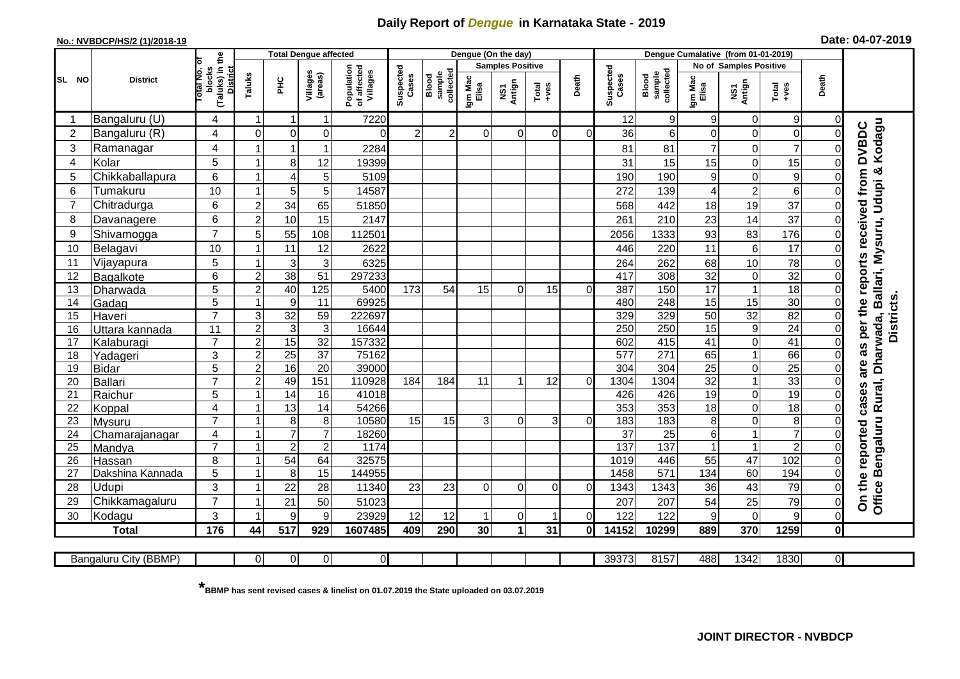## **Daily Report of** *Dengue* **in Karnataka State - 2019**

## **No.: NVBDCP/HS/2 (1)/2018-19**

|  |  | Date: 04-07-2019 |
|--|--|------------------|
|--|--|------------------|

| (Taluks) in the<br>lotal No. ol<br><b>Samples Positive</b><br>No of Samples Positive<br>Population<br>of affected<br>Villages<br>Suspected<br>Suspected<br>blocks<br><b>District</b><br>collected<br>sample<br>collected<br>Villages<br>(areas)<br>sample<br>Taluks<br>Cases<br>Blood<br>Cases<br>Blood<br>Death<br>Death<br>Igm Mac<br>Igm Mac<br>Elisa<br>SL NO<br><b>District</b><br><b>PHC</b><br>NS1<br>Antign<br>NS1<br>Antign<br>$Total$<br>Total<br>$+ve$ s<br>Elisa<br>Bangaluru (U)<br>7220<br>12<br>9<br>9<br>$\mathbf 0$<br>9<br>4<br>0<br>-1<br>1<br>Kodagu<br><b>DVBDC</b><br>$\mathbf 0$<br>$\overline{2}$<br>Bangaluru (R)<br>$\overline{c}$<br>$\overline{c}$<br>6<br>0<br>$\mathbf 0$<br>4<br>$\mathbf 0$<br>$\mathbf 0$<br>0<br>36<br>$\Omega$<br>$\Omega$<br>$\Omega$<br>$\mathbf 0$<br>$\Omega$<br>ΟI<br>Ramanagar<br>$\overline{7}$<br>3<br>4<br>81<br>7<br>2284<br>81<br>$\mathbf 0$<br>0<br>1<br>5<br>15<br>Kolar<br>8<br>$\mathbf 0$<br>$\overline{4}$<br>12<br>19399<br>31<br>15<br>15<br>$\Omega$<br>-1<br>Office Bengaluru Rural, Dharwada, Ballari, Mysuru, Udupi &<br>as per the reports received from<br>6<br>9<br>5<br>Chikkaballapura<br>5<br>190<br>9<br>$\mathbf 0$<br>5109<br>190<br>$\overline{\mathbf{1}}$<br>$\overline{4}$<br>0<br>10<br>5<br>$\overline{2}$<br>6<br>5<br>6<br>272<br>139<br>Tumakuru<br>14587<br>4<br>-1<br>0<br>37<br>6<br>$\overline{c}$<br>34<br>65<br>19<br>$\overline{7}$<br>Chitradurga<br>18<br>51850<br>568<br>442<br>0<br>$\overline{2}$<br>6<br>10<br>14<br>37<br>15<br>2147<br>210<br>23<br>8<br>261<br>$\mathbf 0$<br>Davanagere<br>$\overline{7}$<br>55<br>83<br>176<br>9<br>Shivamogga<br>5<br>108<br>93<br>112501<br>1333<br>2056<br>0<br>11<br>17<br>10<br>11<br>$\,6$<br>10<br>Belagavi<br>12<br>2622<br>220<br>446<br>$\mathbf 0$<br>-1<br>5<br>10<br>3<br>78<br>Vijayapura<br>3<br>6325<br>264<br>262<br>68<br>$\overline{0}$<br>11<br>-1<br>32<br>38<br>32<br>51<br>297233<br>417<br>308<br>$\mathsf{O}\xspace$<br>6<br>$\overline{2}$<br>0<br>12<br>Bagalkote<br>5<br>$\overline{c}$<br>40<br>125<br>150<br>$\overline{17}$<br>$\mathbf{1}$<br>$\overline{18}$<br>13<br>5400<br>173<br>54<br>15<br>15<br>387<br>$\mathbf 0$<br>Dharwada<br>$\Omega$<br>$\Omega$<br><b>Districts</b><br>$\overline{5}$<br>$\overline{9}$<br>15<br>30<br>11<br>69925<br>248<br>15<br>480<br>14<br>$\mathbf 0$<br>Gadag<br>$\overline{7}$<br>$\overline{82}$<br>$\ensuremath{\mathsf{3}}$<br>32<br>59<br>329<br>50<br>32<br>222697<br>329<br>$\mathbf 0$<br>15<br>Haveri<br>$\overline{3}$<br>$\overline{3}$<br>$\overline{9}$<br>$\overline{24}$<br>$\overline{2}$<br>16644<br>250<br>250<br>$\overline{15}$<br>$\Omega$<br>11<br>16<br>Uttara kannada<br>$\overline{7}$<br>15<br>$\overline{2}$<br>$\overline{32}$<br>157332<br>415<br>$\mathbf 0$<br>602<br>41<br>41<br>0<br>17<br>Kalaburagi<br>$\overline{c}$<br>25<br>37<br>1<br>3<br>75162<br>577<br>271<br>65<br>66<br>18<br>$\Omega$<br>Yadageri<br>are<br>16<br>$\overline{25}$<br>$\overline{25}$<br>$\overline{c}$<br>20<br>39000<br>304<br>304<br>$\overline{0}$ |
|------------------------------------------------------------------------------------------------------------------------------------------------------------------------------------------------------------------------------------------------------------------------------------------------------------------------------------------------------------------------------------------------------------------------------------------------------------------------------------------------------------------------------------------------------------------------------------------------------------------------------------------------------------------------------------------------------------------------------------------------------------------------------------------------------------------------------------------------------------------------------------------------------------------------------------------------------------------------------------------------------------------------------------------------------------------------------------------------------------------------------------------------------------------------------------------------------------------------------------------------------------------------------------------------------------------------------------------------------------------------------------------------------------------------------------------------------------------------------------------------------------------------------------------------------------------------------------------------------------------------------------------------------------------------------------------------------------------------------------------------------------------------------------------------------------------------------------------------------------------------------------------------------------------------------------------------------------------------------------------------------------------------------------------------------------------------------------------------------------------------------------------------------------------------------------------------------------------------------------------------------------------------------------------------------------------------------------------------------------------------------------------------------------------------------------------------------------------------------------------------------------------------------------------------------------------------------------------------------------------------------------------------------------------------------------------------------------------------------------------------------------------------------------------------------------------------------------------------------------------------------------------------------------------------------------------------------------------------------------------------------------------------------------------------------------------------------------------|
|                                                                                                                                                                                                                                                                                                                                                                                                                                                                                                                                                                                                                                                                                                                                                                                                                                                                                                                                                                                                                                                                                                                                                                                                                                                                                                                                                                                                                                                                                                                                                                                                                                                                                                                                                                                                                                                                                                                                                                                                                                                                                                                                                                                                                                                                                                                                                                                                                                                                                                                                                                                                                                                                                                                                                                                                                                                                                                                                                                                                                                                                                          |
|                                                                                                                                                                                                                                                                                                                                                                                                                                                                                                                                                                                                                                                                                                                                                                                                                                                                                                                                                                                                                                                                                                                                                                                                                                                                                                                                                                                                                                                                                                                                                                                                                                                                                                                                                                                                                                                                                                                                                                                                                                                                                                                                                                                                                                                                                                                                                                                                                                                                                                                                                                                                                                                                                                                                                                                                                                                                                                                                                                                                                                                                                          |
|                                                                                                                                                                                                                                                                                                                                                                                                                                                                                                                                                                                                                                                                                                                                                                                                                                                                                                                                                                                                                                                                                                                                                                                                                                                                                                                                                                                                                                                                                                                                                                                                                                                                                                                                                                                                                                                                                                                                                                                                                                                                                                                                                                                                                                                                                                                                                                                                                                                                                                                                                                                                                                                                                                                                                                                                                                                                                                                                                                                                                                                                                          |
|                                                                                                                                                                                                                                                                                                                                                                                                                                                                                                                                                                                                                                                                                                                                                                                                                                                                                                                                                                                                                                                                                                                                                                                                                                                                                                                                                                                                                                                                                                                                                                                                                                                                                                                                                                                                                                                                                                                                                                                                                                                                                                                                                                                                                                                                                                                                                                                                                                                                                                                                                                                                                                                                                                                                                                                                                                                                                                                                                                                                                                                                                          |
|                                                                                                                                                                                                                                                                                                                                                                                                                                                                                                                                                                                                                                                                                                                                                                                                                                                                                                                                                                                                                                                                                                                                                                                                                                                                                                                                                                                                                                                                                                                                                                                                                                                                                                                                                                                                                                                                                                                                                                                                                                                                                                                                                                                                                                                                                                                                                                                                                                                                                                                                                                                                                                                                                                                                                                                                                                                                                                                                                                                                                                                                                          |
|                                                                                                                                                                                                                                                                                                                                                                                                                                                                                                                                                                                                                                                                                                                                                                                                                                                                                                                                                                                                                                                                                                                                                                                                                                                                                                                                                                                                                                                                                                                                                                                                                                                                                                                                                                                                                                                                                                                                                                                                                                                                                                                                                                                                                                                                                                                                                                                                                                                                                                                                                                                                                                                                                                                                                                                                                                                                                                                                                                                                                                                                                          |
|                                                                                                                                                                                                                                                                                                                                                                                                                                                                                                                                                                                                                                                                                                                                                                                                                                                                                                                                                                                                                                                                                                                                                                                                                                                                                                                                                                                                                                                                                                                                                                                                                                                                                                                                                                                                                                                                                                                                                                                                                                                                                                                                                                                                                                                                                                                                                                                                                                                                                                                                                                                                                                                                                                                                                                                                                                                                                                                                                                                                                                                                                          |
|                                                                                                                                                                                                                                                                                                                                                                                                                                                                                                                                                                                                                                                                                                                                                                                                                                                                                                                                                                                                                                                                                                                                                                                                                                                                                                                                                                                                                                                                                                                                                                                                                                                                                                                                                                                                                                                                                                                                                                                                                                                                                                                                                                                                                                                                                                                                                                                                                                                                                                                                                                                                                                                                                                                                                                                                                                                                                                                                                                                                                                                                                          |
|                                                                                                                                                                                                                                                                                                                                                                                                                                                                                                                                                                                                                                                                                                                                                                                                                                                                                                                                                                                                                                                                                                                                                                                                                                                                                                                                                                                                                                                                                                                                                                                                                                                                                                                                                                                                                                                                                                                                                                                                                                                                                                                                                                                                                                                                                                                                                                                                                                                                                                                                                                                                                                                                                                                                                                                                                                                                                                                                                                                                                                                                                          |
|                                                                                                                                                                                                                                                                                                                                                                                                                                                                                                                                                                                                                                                                                                                                                                                                                                                                                                                                                                                                                                                                                                                                                                                                                                                                                                                                                                                                                                                                                                                                                                                                                                                                                                                                                                                                                                                                                                                                                                                                                                                                                                                                                                                                                                                                                                                                                                                                                                                                                                                                                                                                                                                                                                                                                                                                                                                                                                                                                                                                                                                                                          |
|                                                                                                                                                                                                                                                                                                                                                                                                                                                                                                                                                                                                                                                                                                                                                                                                                                                                                                                                                                                                                                                                                                                                                                                                                                                                                                                                                                                                                                                                                                                                                                                                                                                                                                                                                                                                                                                                                                                                                                                                                                                                                                                                                                                                                                                                                                                                                                                                                                                                                                                                                                                                                                                                                                                                                                                                                                                                                                                                                                                                                                                                                          |
|                                                                                                                                                                                                                                                                                                                                                                                                                                                                                                                                                                                                                                                                                                                                                                                                                                                                                                                                                                                                                                                                                                                                                                                                                                                                                                                                                                                                                                                                                                                                                                                                                                                                                                                                                                                                                                                                                                                                                                                                                                                                                                                                                                                                                                                                                                                                                                                                                                                                                                                                                                                                                                                                                                                                                                                                                                                                                                                                                                                                                                                                                          |
|                                                                                                                                                                                                                                                                                                                                                                                                                                                                                                                                                                                                                                                                                                                                                                                                                                                                                                                                                                                                                                                                                                                                                                                                                                                                                                                                                                                                                                                                                                                                                                                                                                                                                                                                                                                                                                                                                                                                                                                                                                                                                                                                                                                                                                                                                                                                                                                                                                                                                                                                                                                                                                                                                                                                                                                                                                                                                                                                                                                                                                                                                          |
|                                                                                                                                                                                                                                                                                                                                                                                                                                                                                                                                                                                                                                                                                                                                                                                                                                                                                                                                                                                                                                                                                                                                                                                                                                                                                                                                                                                                                                                                                                                                                                                                                                                                                                                                                                                                                                                                                                                                                                                                                                                                                                                                                                                                                                                                                                                                                                                                                                                                                                                                                                                                                                                                                                                                                                                                                                                                                                                                                                                                                                                                                          |
|                                                                                                                                                                                                                                                                                                                                                                                                                                                                                                                                                                                                                                                                                                                                                                                                                                                                                                                                                                                                                                                                                                                                                                                                                                                                                                                                                                                                                                                                                                                                                                                                                                                                                                                                                                                                                                                                                                                                                                                                                                                                                                                                                                                                                                                                                                                                                                                                                                                                                                                                                                                                                                                                                                                                                                                                                                                                                                                                                                                                                                                                                          |
|                                                                                                                                                                                                                                                                                                                                                                                                                                                                                                                                                                                                                                                                                                                                                                                                                                                                                                                                                                                                                                                                                                                                                                                                                                                                                                                                                                                                                                                                                                                                                                                                                                                                                                                                                                                                                                                                                                                                                                                                                                                                                                                                                                                                                                                                                                                                                                                                                                                                                                                                                                                                                                                                                                                                                                                                                                                                                                                                                                                                                                                                                          |
|                                                                                                                                                                                                                                                                                                                                                                                                                                                                                                                                                                                                                                                                                                                                                                                                                                                                                                                                                                                                                                                                                                                                                                                                                                                                                                                                                                                                                                                                                                                                                                                                                                                                                                                                                                                                                                                                                                                                                                                                                                                                                                                                                                                                                                                                                                                                                                                                                                                                                                                                                                                                                                                                                                                                                                                                                                                                                                                                                                                                                                                                                          |
|                                                                                                                                                                                                                                                                                                                                                                                                                                                                                                                                                                                                                                                                                                                                                                                                                                                                                                                                                                                                                                                                                                                                                                                                                                                                                                                                                                                                                                                                                                                                                                                                                                                                                                                                                                                                                                                                                                                                                                                                                                                                                                                                                                                                                                                                                                                                                                                                                                                                                                                                                                                                                                                                                                                                                                                                                                                                                                                                                                                                                                                                                          |
|                                                                                                                                                                                                                                                                                                                                                                                                                                                                                                                                                                                                                                                                                                                                                                                                                                                                                                                                                                                                                                                                                                                                                                                                                                                                                                                                                                                                                                                                                                                                                                                                                                                                                                                                                                                                                                                                                                                                                                                                                                                                                                                                                                                                                                                                                                                                                                                                                                                                                                                                                                                                                                                                                                                                                                                                                                                                                                                                                                                                                                                                                          |
|                                                                                                                                                                                                                                                                                                                                                                                                                                                                                                                                                                                                                                                                                                                                                                                                                                                                                                                                                                                                                                                                                                                                                                                                                                                                                                                                                                                                                                                                                                                                                                                                                                                                                                                                                                                                                                                                                                                                                                                                                                                                                                                                                                                                                                                                                                                                                                                                                                                                                                                                                                                                                                                                                                                                                                                                                                                                                                                                                                                                                                                                                          |
| 5<br><b>Bidar</b><br>0<br>19                                                                                                                                                                                                                                                                                                                                                                                                                                                                                                                                                                                                                                                                                                                                                                                                                                                                                                                                                                                                                                                                                                                                                                                                                                                                                                                                                                                                                                                                                                                                                                                                                                                                                                                                                                                                                                                                                                                                                                                                                                                                                                                                                                                                                                                                                                                                                                                                                                                                                                                                                                                                                                                                                                                                                                                                                                                                                                                                                                                                                                                             |
| $\overline{7}$<br>$\overline{c}$<br>49<br>$\overline{32}$<br>$\mathbf{1}$<br>33<br>151<br>110928<br>11<br>12<br>1304<br>1304<br>20<br><b>Ballari</b><br>184<br>184<br>$\Omega$<br>1<br>$\Omega$                                                                                                                                                                                                                                                                                                                                                                                                                                                                                                                                                                                                                                                                                                                                                                                                                                                                                                                                                                                                                                                                                                                                                                                                                                                                                                                                                                                                                                                                                                                                                                                                                                                                                                                                                                                                                                                                                                                                                                                                                                                                                                                                                                                                                                                                                                                                                                                                                                                                                                                                                                                                                                                                                                                                                                                                                                                                                          |
| cases<br>19<br>14<br>19<br>5<br>$\overline{16}$<br>41018<br>426<br>426<br>$\mathbf 0$<br>21<br>$\Omega$<br>Raichur                                                                                                                                                                                                                                                                                                                                                                                                                                                                                                                                                                                                                                                                                                                                                                                                                                                                                                                                                                                                                                                                                                                                                                                                                                                                                                                                                                                                                                                                                                                                                                                                                                                                                                                                                                                                                                                                                                                                                                                                                                                                                                                                                                                                                                                                                                                                                                                                                                                                                                                                                                                                                                                                                                                                                                                                                                                                                                                                                                       |
| $\overline{13}$<br>353<br>$\overline{18}$<br>$\overline{\mathbf{4}}$<br>14<br>54266<br>353<br>18<br>$\mathbf 0$<br>22<br>$\Omega$<br>Koppal                                                                                                                                                                                                                                                                                                                                                                                                                                                                                                                                                                                                                                                                                                                                                                                                                                                                                                                                                                                                                                                                                                                                                                                                                                                                                                                                                                                                                                                                                                                                                                                                                                                                                                                                                                                                                                                                                                                                                                                                                                                                                                                                                                                                                                                                                                                                                                                                                                                                                                                                                                                                                                                                                                                                                                                                                                                                                                                                              |
| $\overline{8}$<br>$\overline{7}$<br>8<br>8<br>10580<br>183<br>8<br>$\mathbf 0$<br>15<br>15<br>3<br>$\Omega$<br>3<br>183<br>$\Omega$<br>23<br>0<br>Mysuru                                                                                                                                                                                                                                                                                                                                                                                                                                                                                                                                                                                                                                                                                                                                                                                                                                                                                                                                                                                                                                                                                                                                                                                                                                                                                                                                                                                                                                                                                                                                                                                                                                                                                                                                                                                                                                                                                                                                                                                                                                                                                                                                                                                                                                                                                                                                                                                                                                                                                                                                                                                                                                                                                                                                                                                                                                                                                                                                 |
| $\overline{7}$<br>$\overline{7}$<br>$\overline{7}$<br>25<br>18260<br>37<br>6<br>1<br>24<br>4<br>1<br>0<br>Chamarajanagar                                                                                                                                                                                                                                                                                                                                                                                                                                                                                                                                                                                                                                                                                                                                                                                                                                                                                                                                                                                                                                                                                                                                                                                                                                                                                                                                                                                                                                                                                                                                                                                                                                                                                                                                                                                                                                                                                                                                                                                                                                                                                                                                                                                                                                                                                                                                                                                                                                                                                                                                                                                                                                                                                                                                                                                                                                                                                                                                                                 |
| reported<br>$\overline{2}$<br>$\overline{7}$<br>$\overline{2}$<br>$\overline{c}$<br>137<br>$\mathbf{1}$<br>1174<br>137<br>25<br>$\mathbf{1}$<br>$\overline{0}$<br>Mandya<br>-1                                                                                                                                                                                                                                                                                                                                                                                                                                                                                                                                                                                                                                                                                                                                                                                                                                                                                                                                                                                                                                                                                                                                                                                                                                                                                                                                                                                                                                                                                                                                                                                                                                                                                                                                                                                                                                                                                                                                                                                                                                                                                                                                                                                                                                                                                                                                                                                                                                                                                                                                                                                                                                                                                                                                                                                                                                                                                                           |
| 102<br>8<br>54<br>64<br>32575<br>55<br>47<br>26<br>446<br>$\mathbf 0$<br>$\overline{\mathbf{1}}$<br>1019<br>Hassan                                                                                                                                                                                                                                                                                                                                                                                                                                                                                                                                                                                                                                                                                                                                                                                                                                                                                                                                                                                                                                                                                                                                                                                                                                                                                                                                                                                                                                                                                                                                                                                                                                                                                                                                                                                                                                                                                                                                                                                                                                                                                                                                                                                                                                                                                                                                                                                                                                                                                                                                                                                                                                                                                                                                                                                                                                                                                                                                                                       |
| 144955<br>$\overline{571}$<br>194<br>5<br>8<br>15<br>1458<br>134<br>60<br>$\Omega$<br>$\overline{1}$<br>27<br>Dakshina Kannada                                                                                                                                                                                                                                                                                                                                                                                                                                                                                                                                                                                                                                                                                                                                                                                                                                                                                                                                                                                                                                                                                                                                                                                                                                                                                                                                                                                                                                                                                                                                                                                                                                                                                                                                                                                                                                                                                                                                                                                                                                                                                                                                                                                                                                                                                                                                                                                                                                                                                                                                                                                                                                                                                                                                                                                                                                                                                                                                                           |
| On the<br>3<br>Udupi<br>79<br>28<br>22<br>23<br>$\Omega$<br>$\Omega$<br>43<br>0<br>28<br>11340<br>23<br>$\Omega$<br>1343<br>1343<br>36<br>$\Omega$                                                                                                                                                                                                                                                                                                                                                                                                                                                                                                                                                                                                                                                                                                                                                                                                                                                                                                                                                                                                                                                                                                                                                                                                                                                                                                                                                                                                                                                                                                                                                                                                                                                                                                                                                                                                                                                                                                                                                                                                                                                                                                                                                                                                                                                                                                                                                                                                                                                                                                                                                                                                                                                                                                                                                                                                                                                                                                                                       |
| $\overline{7}$<br>Chikkamagaluru<br>25<br>79<br>29<br>21<br>50<br>51023<br>207<br>207<br>54<br>0                                                                                                                                                                                                                                                                                                                                                                                                                                                                                                                                                                                                                                                                                                                                                                                                                                                                                                                                                                                                                                                                                                                                                                                                                                                                                                                                                                                                                                                                                                                                                                                                                                                                                                                                                                                                                                                                                                                                                                                                                                                                                                                                                                                                                                                                                                                                                                                                                                                                                                                                                                                                                                                                                                                                                                                                                                                                                                                                                                                         |
| 3<br>9<br>9<br>9<br>12<br>12<br>122<br>$\Omega$<br>$\Omega$<br>30<br>Kodagu<br>23929<br>122<br>9<br>$\Omega$<br>ΩI                                                                                                                                                                                                                                                                                                                                                                                                                                                                                                                                                                                                                                                                                                                                                                                                                                                                                                                                                                                                                                                                                                                                                                                                                                                                                                                                                                                                                                                                                                                                                                                                                                                                                                                                                                                                                                                                                                                                                                                                                                                                                                                                                                                                                                                                                                                                                                                                                                                                                                                                                                                                                                                                                                                                                                                                                                                                                                                                                                       |
| 176<br>517<br>370<br>1259<br>929<br>290<br>30 <sub>0</sub><br>31<br>10299<br>889<br>$\mathbf{0}$<br><b>Total</b><br>44<br>1607485<br>409<br>$\mathbf{1}$<br>0I<br>14152                                                                                                                                                                                                                                                                                                                                                                                                                                                                                                                                                                                                                                                                                                                                                                                                                                                                                                                                                                                                                                                                                                                                                                                                                                                                                                                                                                                                                                                                                                                                                                                                                                                                                                                                                                                                                                                                                                                                                                                                                                                                                                                                                                                                                                                                                                                                                                                                                                                                                                                                                                                                                                                                                                                                                                                                                                                                                                                  |
| $\overline{0}$<br>$\overline{0}$<br>39373<br>8157<br>488<br>1342<br>1830<br>οI<br>Bangaluru City (BBMP)<br>$\Omega$<br>$\overline{0}$                                                                                                                                                                                                                                                                                                                                                                                                                                                                                                                                                                                                                                                                                                                                                                                                                                                                                                                                                                                                                                                                                                                                                                                                                                                                                                                                                                                                                                                                                                                                                                                                                                                                                                                                                                                                                                                                                                                                                                                                                                                                                                                                                                                                                                                                                                                                                                                                                                                                                                                                                                                                                                                                                                                                                                                                                                                                                                                                                    |

**\* BBMP has sent revised cases & linelist on 01.07.2019 the State uploaded on 03.07.2019**